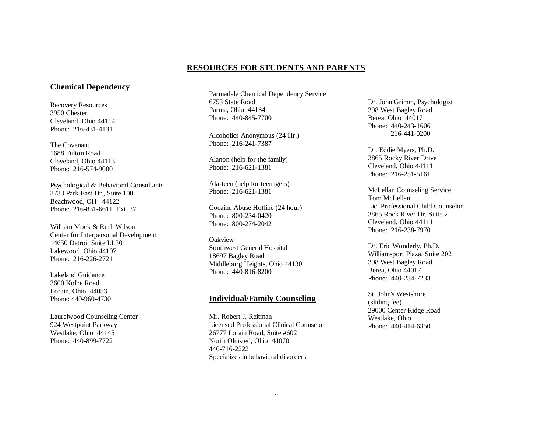## **RESOURCES FOR STUDENTS AND PARENTS**

## **Chemical Dependency**

Recovery Resources 3950 Chester Cleveland, Ohio 44114 Phone: 216-431-4131

The Covenant 1688 Fulton Road Cleveland, Ohio 44113 Phone: 216-574-9000

Psychological & Behavioral Consultants 3733 Park East Dr., Suite 100 Beachwood, OH 44122 Phone: 216-831-6611 Ext. 37

William Mock & Ruth Wilson Center for Interpersonal Development 14650 Detroit Suite LL30 Lakewood, Ohio 44107 Phone: 216-226-2721

Lakeland Guidance 3600 Kolbe Road Lorain, Ohio 44053 Phone: 440-960-4730

Laurelwood Counseling Center 924 Westpoint Parkway Westlake, Ohio 44145 Phone: 440-899-7722

Parmadale Chemical Dependency Service 6753 State Road Parma, Ohio 44134 Phone: 440-845-7700

Alcoholics Anonymous (24 Hr.) Phone: 216-241-7387

Alanon (help for the family) Phone: 216-621-1381

Ala-teen (help for teenagers) Phone: 216-621-1381

Cocaine Abuse Hotline (24 hour) Phone: 800-234-0420 Phone: 800-274-2042

**Oakview** Southwest General Hospital 18697 Bagley Road Middleburg Heights, Ohio 44130 Phone: 440-816-8200

#### **Individual/Family Counseling**

Mr. Robert J. Reitman Licensed Professional Clinical Counselor 26777 Lorain Road, Suite #602 North Olmsted, Ohio 44070 440-716-2222 Specializes in behavioral disorders

Dr. John Grimm, Psychologist 398 West Bagley Road Berea, Ohio 44017 Phone: 440-243-1606 216-441-0200

Dr. Eddie Myers, Ph.D. 3865 Rocky River Drive Cleveland, Ohio 44111 Phone: 216-251-5161

McLellan Counseling Service Tom McLellan Lic. Professional Child Counselor 3865 Rock River Dr. Suite 2 Cleveland, Ohio 44111 Phone: 216-238-7970

Dr. Eric Wonderly, Ph.D. Williamsport Plaza, Suite 202 398 West Bagley Road Berea, Ohio 44017 Phone: 440-234-7233

St. John's Westshore (sliding fee) 29000 Center Ridge Road Westlake, Ohio Phone: 440-414-6350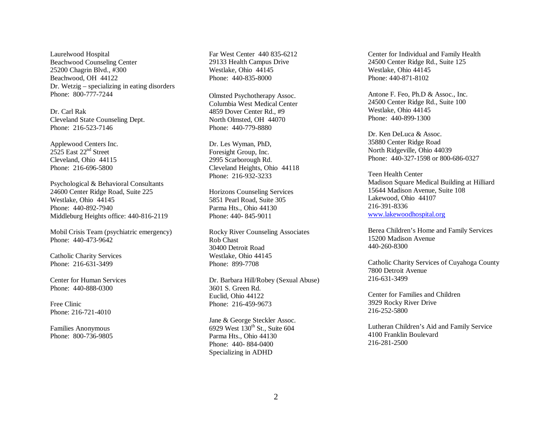Laurelwood Hospital Beachwood Counseling Center 25200 Chagrin Blvd., #300 Beachwood, OH 44122 Dr. Wetzig – specializing in eating disorders Phone: 800-777-7244

Dr. Carl Rak Cleveland State Counseling Dept. Phone: 216-523-7146

Applewood Centers Inc. 2525 East 22nd Street Cleveland, Ohio 44115 Phone: 216-696-5800

Psychological & Behavioral Consultants 24600 Center Ridge Road, Suite 225 Westlake, Ohio 44145 Phone: 440-892-7940 Middleburg Heights office: 440-816-2119

Mobil Crisis Team (psychiatric emergency) Phone: 440-473-9642

Catholic Charity Services Phone: 216-631-3499

Center for Human Services Phone: 440-888-0300

Free Clinic Phone: 216-721-4010

Families Anonymous Phone: 800-736-9805 Far West Center 440 835-6212 29133 Health Campus Drive Westlake, Ohio 44145 Phone: 440-835-8000

Olmsted Psychotherapy Assoc. Columbia West Medical Center 4859 Dover Center Rd., #9 North Olmsted, OH 44070 Phone: 440-779-8880

Dr. Les Wyman, PhD, Foresight Group, Inc. 2995 Scarborough Rd. Cleveland Heights, Ohio 44118 Phone: 216-932-3233

Horizons Counseling Services 5851 Pearl Road, Suite 305 Parma Hts., Ohio 44130 Phone: 440- 845-9011

Rocky River Counseling Associates Rob Chast 30400 Detroit Road Westlake, Ohio 44145 Phone: 899-7708

Dr. Barbara Hill/Robey (Sexual Abuse) 3601 S. Green Rd. Euclid, Ohio 44122 Phone: 216-459-9673

Jane & George Steckler Assoc. 6929 West  $130^{th}$  St., Suite 604 Parma Hts., Ohio 44130 Phone: 440- 884-0400 Specializing in ADHD

Center for Individual and Family Health 24500 Center Ridge Rd., Suite 125 Westlake, Ohio 44145 Phone: 440-871-8102

Antone F. Feo, Ph.D & Assoc., Inc. 24500 Center Ridge Rd., Suite 100 Westlake, Ohio 44145 Phone: 440-899-1300

Dr. Ken DeLuca & Assoc. 35880 Center Ridge Road North Ridgeville, Ohio 44039 Phone: 440-327-1598 or 800-686-0327

Teen Health Center Madison Square Medical Building at Hilliard 15644 Madison Avenue, Suite 108 Lakewood, Ohio 44107 216-391-8336 www.lakewoodhospital.org

Berea Children's Home and Family Services 15200 Madison Avenue 440-260-8300

Catholic Charity Services of Cuyahoga County 7800 Detroit Avenue 216-631-3499

Center for Families and Children 3929 Rocky River Drive 216-252-5800

Lutheran Children's Aid and Family Service 4100 Franklin Boulevard 216-281-2500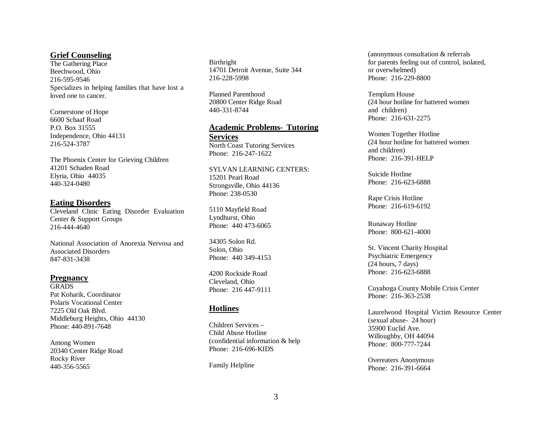### **Grief Counseling**

The Gathering Place Beechwood, Ohio 216-595-9546 Specializes in helping families that have lost a loved one to cancer.

Cornerstone of Hope 6600 Schaaf Road P.O. Box 31555 Independence, Ohio 44131 216-524-3787

The Phoenix Center for Grieving Children 41201 Schaden Road Elyria, Ohio 44035 440-324-0480

#### **Eating Disorders**

Cleveland Clinic Eating Disorder Evaluation Center & Support Groups 216-444-4640

National Association of Anorexia Nervosa and Associated Disorders 847-831-3438

#### **Pregnancy**

**GRADS** Pat Koharik, Coordinator Polaris Vocational Center 7225 Old Oak Blvd. Middleburg Heights, Ohio 44130 Phone: 440-891-7648

Among Women 20340 Center Ridge Road Rocky River 440-356-5565

Birthright 14701 Detroit Avenue, Suite 344 216-228-5998

Planned Parenthood 20800 Center Ridge Road 440-331-8744

#### **Academic Problems- Tutoring Services**

North Coast Tutoring Services Phone: 216-247-1622

SYLVAN LEARNING CENTERS: 15201 Pearl Road Strongsville, Ohio 44136 Phone: 238-0530

5110 Mayfield Road Lyndhurst, Ohio Phone: 440 473-6065

34305 Solon Rd. Solon, Ohio Phone: 440 349-4153

4200 Rockside Road Cleveland, Ohio Phone: 216 447-9111

## **Hotlines**

Children Services – Child Abuse Hotline (confidential information & help Phone: 216-696-KIDS

Family Helpline

(anonymous consultation & referrals for parents feeling out of control, isolated, or overwhelmed) Phone: 216-229-8800

Templum House (24 hour hotline for battered women and children) Phone: 216-631-2275

Women Together Hotline (24 hour hotline for battered women and children) Phone: 216-391-HELP

Suicide Hotline Phone: 216-623-6888

Rape Crisis Hotline Phone: 216-619-6192

Runaway Hotline Phone: 800-621-4000

St. Vincent Charity Hospital Psychiatric Emergency (24 hours, 7 days) Phone: 216-623-6888

Cuyahoga County Mobile Crisis Center Phone: 216-363-2538

Laurelwood Hospital Victim Resource Center (sexual abuse- 24 hour) 35900 Euclid Ave. Willoughby, OH 44094 Phone: 800-777-7244

Overeaters Anonymous Phone: 216-391-6664